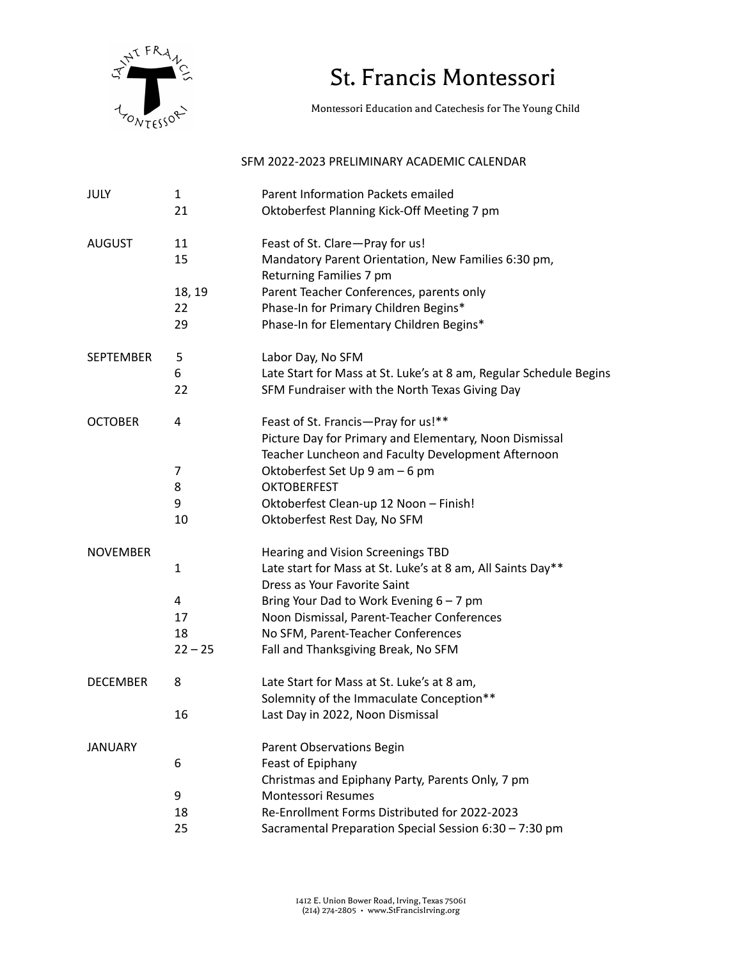

## St. Francis Montessori

Montessori Education and Catechesis for The Young Child

## SFM 2022-2023 PRELIMINARY ACADEMIC CALENDAR

| <b>JULY</b>      | 1            | Parent Information Packets emailed                                                |
|------------------|--------------|-----------------------------------------------------------------------------------|
|                  | 21           | Oktoberfest Planning Kick-Off Meeting 7 pm                                        |
| <b>AUGUST</b>    | 11           | Feast of St. Clare-Pray for us!                                                   |
|                  | 15           | Mandatory Parent Orientation, New Families 6:30 pm,                               |
|                  |              | Returning Families 7 pm                                                           |
|                  | 18, 19<br>22 | Parent Teacher Conferences, parents only                                          |
|                  | 29           | Phase-In for Primary Children Begins*<br>Phase-In for Elementary Children Begins* |
|                  |              |                                                                                   |
| <b>SEPTEMBER</b> | 5            | Labor Day, No SFM                                                                 |
|                  | 6            | Late Start for Mass at St. Luke's at 8 am, Regular Schedule Begins                |
|                  | 22           | SFM Fundraiser with the North Texas Giving Day                                    |
| <b>OCTOBER</b>   | 4            | Feast of St. Francis-Pray for us!**                                               |
|                  |              | Picture Day for Primary and Elementary, Noon Dismissal                            |
|                  |              | Teacher Luncheon and Faculty Development Afternoon                                |
|                  | 7            | Oktoberfest Set Up 9 am - 6 pm                                                    |
|                  | 8            | <b>OKTOBERFEST</b>                                                                |
|                  | 9            | Oktoberfest Clean-up 12 Noon - Finish!                                            |
|                  | 10           | Oktoberfest Rest Day, No SFM                                                      |
| <b>NOVEMBER</b>  |              | Hearing and Vision Screenings TBD                                                 |
|                  | 1            | Late start for Mass at St. Luke's at 8 am, All Saints Day**                       |
|                  |              | Dress as Your Favorite Saint                                                      |
|                  | 4            | Bring Your Dad to Work Evening $6 - 7$ pm                                         |
|                  | 17           | Noon Dismissal, Parent-Teacher Conferences                                        |
|                  | 18           | No SFM, Parent-Teacher Conferences                                                |
|                  | $22 - 25$    | Fall and Thanksgiving Break, No SFM                                               |
| <b>DECEMBER</b>  | 8            | Late Start for Mass at St. Luke's at 8 am,                                        |
|                  |              | Solemnity of the Immaculate Conception**                                          |
|                  | 16           | Last Day in 2022, Noon Dismissal                                                  |
| <b>JANUARY</b>   |              | Parent Observations Begin                                                         |
|                  | 6            | Feast of Epiphany                                                                 |
|                  |              | Christmas and Epiphany Party, Parents Only, 7 pm                                  |
|                  | 9            | <b>Montessori Resumes</b>                                                         |
|                  | 18           | Re-Enrollment Forms Distributed for 2022-2023                                     |
|                  | 25           | Sacramental Preparation Special Session 6:30 - 7:30 pm                            |